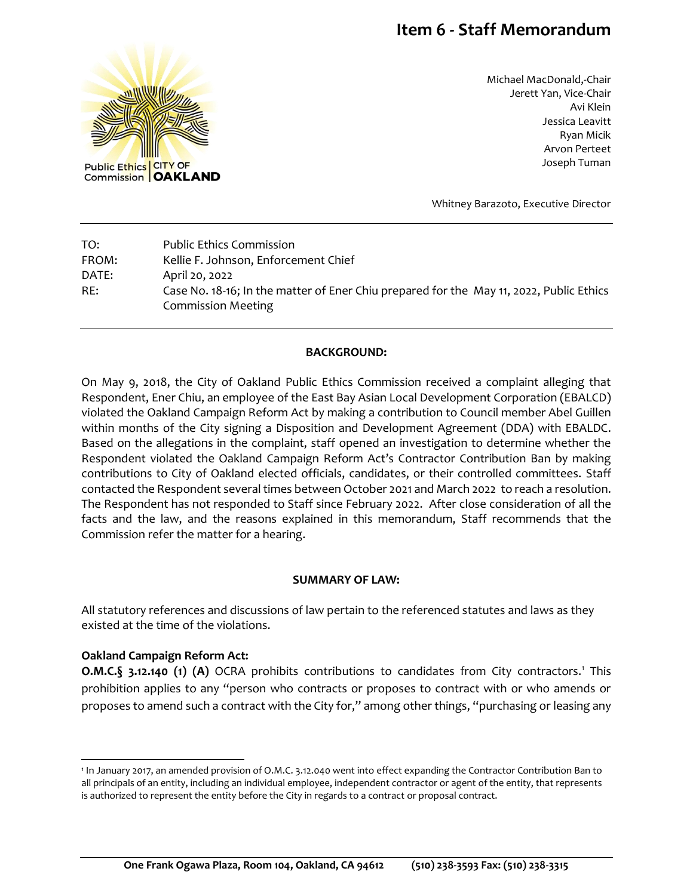# **Item 6 - Staff Memorandum**



Michael MacDonald,-Chair Jerett Yan, Vice-Chair Avi Klein Jessica Leavitt Ryan Micik Arvon Perteet Joseph Tuman

Whitney Barazoto, Executive Director

| TO:   | <b>Public Ethics Commission</b>                                                                                      |
|-------|----------------------------------------------------------------------------------------------------------------------|
| FROM: | Kellie F. Johnson, Enforcement Chief                                                                                 |
| DATE: | April 20, 2022                                                                                                       |
| RE:   | Case No. 18-16; In the matter of Ener Chiu prepared for the May 11, 2022, Public Ethics<br><b>Commission Meeting</b> |

#### **BACKGROUND:**

On May 9, 2018, the City of Oakland Public Ethics Commission received a complaint alleging that Respondent, Ener Chiu, an employee of the East Bay Asian Local Development Corporation (EBALCD) violated the Oakland Campaign Reform Act by making a contribution to Council member Abel Guillen within months of the City signing a Disposition and Development Agreement (DDA) with EBALDC. Based on the allegations in the complaint, staff opened an investigation to determine whether the Respondent violated the Oakland Campaign Reform Act's Contractor Contribution Ban by making contributions to City of Oakland elected officials, candidates, or their controlled committees. Staff contacted the Respondent several times between October 2021 and March 2022 to reach a resolution. The Respondent has not responded to Staff since February 2022. After close consideration of all the facts and the law, and the reasons explained in this memorandum, Staff recommends that the Commission refer the matter for a hearing.

#### **SUMMARY OF LAW:**

All statutory references and discussions of law pertain to the referenced statutes and laws as they existed at the time of the violations.

#### **Oakland Campaign Reform Act:**

**O.M.C.§ 3.12.140 (1) (A)** OCRA prohibits contributions to candidates from City contractors.<sup>1</sup> This prohibition applies to any "person who contracts or proposes to contract with or who amends or proposes to amend such a contract with the City for," among other things, "purchasing or leasing any

<sup>1</sup> In January 2017, an amended provision of O.M.C. 3.12.040 went into effect expanding the Contractor Contribution Ban to all principals of an entity, including an individual employee, independent contractor or agent of the entity, that represents is authorized to represent the entity before the City in regards to a contract or proposal contract.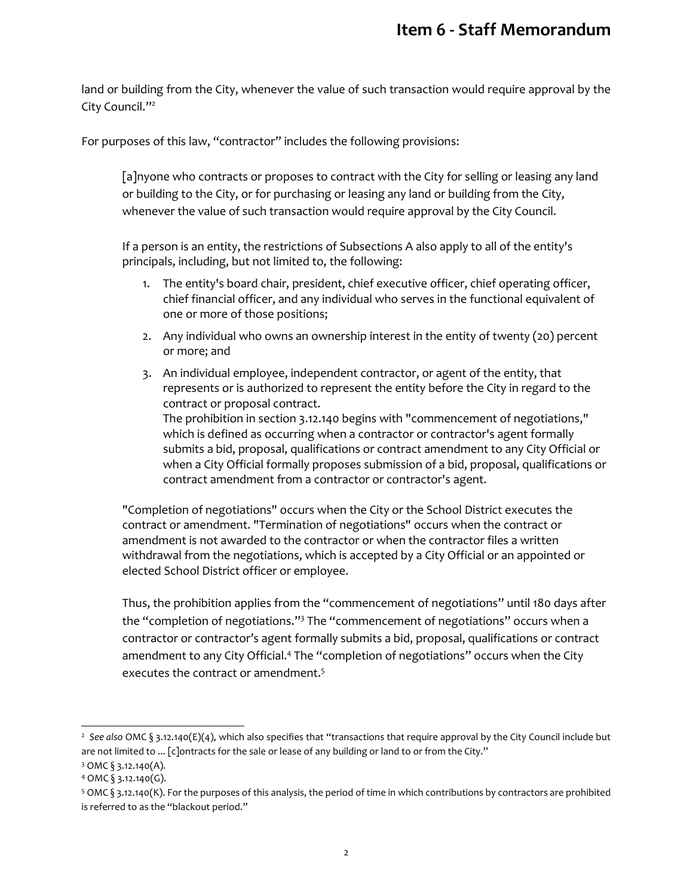land or building from the City, whenever the value of such transaction would require approval by the City Council."<sup>2</sup>

For purposes of this law, "contractor" includes the following provisions:

[a]nyone who contracts or proposes to contract with the City for selling or leasing any land or building to the City, or for purchasing or leasing any land or building from the City, whenever the value of such transaction would require approval by the City Council.

If a person is an entity, the restrictions of Subsections A also apply to all of the entity's principals, including, but not limited to, the following:

- 1. The entity's board chair, president, chief executive officer, chief operating officer, chief financial officer, and any individual who serves in the functional equivalent of one or more of those positions;
- 2. Any individual who owns an ownership interest in the entity of twenty (20) percent or more; and
- 3. An individual employee, independent contractor, or agent of the entity, that represents or is authorized to represent the entity before the City in regard to the contract or proposal contract. The prohibition in section 3.12.140 begins with "commencement of negotiations," which is defined as occurring when a contractor or contractor's agent formally submits a bid, proposal, qualifications or contract amendment to any City Official or when a City Official formally proposes submission of a bid, proposal, qualifications or contract amendment from a contractor or contractor's agent.

"Completion of negotiations" occurs when the City or the School District executes the contract or amendment. "Termination of negotiations" occurs when the contract or amendment is not awarded to the contractor or when the contractor files a written withdrawal from the negotiations, which is accepted by a City Official or an appointed or elected School District officer or employee.

Thus, the prohibition applies from the "commencement of negotiations" until 180 days after the "completion of negotiations."<sup>3</sup> The "commencement of negotiations" occurs when a contractor or contractor's agent formally submits a bid, proposal, qualifications or contract amendment to any City Official.<sup>4</sup> The "completion of negotiations" occurs when the City executes the contract or amendment.<sup>5</sup>

l

<sup>2</sup> *See also* OMC § 3.12.140(E)(4), which also specifies that "transactions that require approval by the City Council include but are not limited to ... [c]ontracts for the sale or lease of any building or land to or from the City."

<sup>3</sup> OMC § 3.12.140(A).

 $4$  OMC § 3.12.140(G).

<sup>5</sup> OMC § 3.12.140(K). For the purposes of this analysis, the period of time in which contributions by contractors are prohibited is referred to as the "blackout period."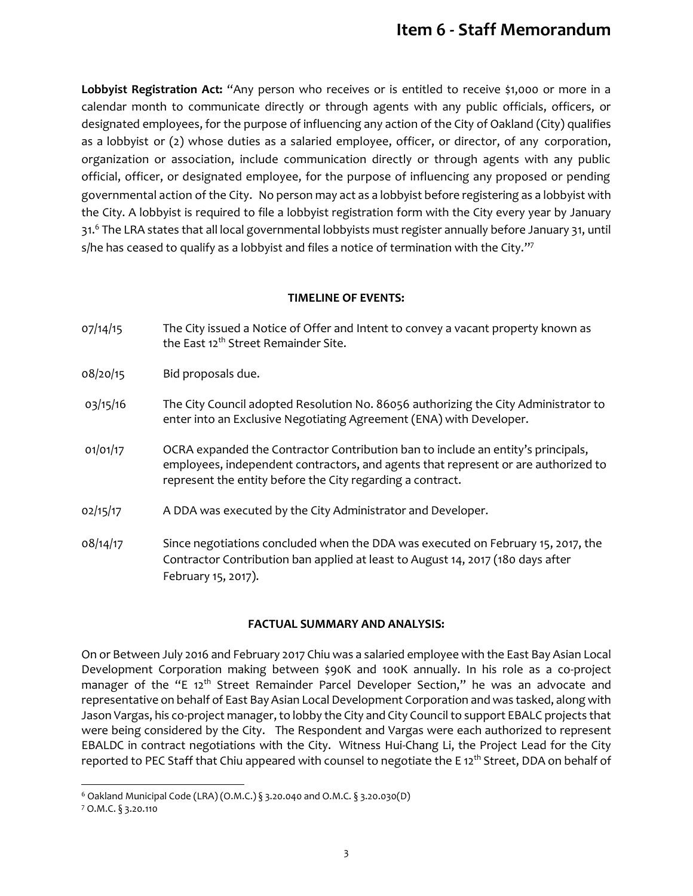## **Item 6 - Staff Memorandum**

**Lobbyist Registration Act:** "Any person who receives or is entitled to receive \$1,000 or more in a calendar month to communicate directly or through agents with any public officials, officers, or designated employees, for the purpose of influencing any action of the City of Oakland (City) qualifies as a lobbyist or (2) whose duties as a salaried employee, officer, or director, of any corporation, organization or association, include communication directly or through agents with any public official, officer, or designated employee, for the purpose of influencing any proposed or pending governmental action of the City. No person may act as a lobbyist before registering as a lobbyist with the City. A lobbyist is required to file a lobbyist registration form with the City every year by January 31.<sup>6</sup> The LRA states that all local governmental lobbyists must register annually before January 31, until s/he has ceased to qualify as a lobbyist and files a notice of termination with the City. $^{\prime\prime\prime}$ 

#### **TIMELINE OF EVENTS:**

- 07/14/15 The City issued a Notice of Offer and Intent to convey a vacant property known as the East 12<sup>th</sup> Street Remainder Site.
- 08/20/15 Bid proposals due.
- 03/15/16 The City Council adopted Resolution No. 86056 authorizing the City Administrator to enter into an Exclusive Negotiating Agreement (ENA) with Developer.
- 01/01/17 OCRA expanded the Contractor Contribution ban to include an entity's principals, employees, independent contractors, and agents that represent or are authorized to represent the entity before the City regarding a contract.
- 02/15/17 A DDA was executed by the City Administrator and Developer.
- 08/14/17 Since negotiations concluded when the DDA was executed on February 15, 2017, the Contractor Contribution ban applied at least to August 14, 2017 (180 days after February 15, 2017).

#### **FACTUAL SUMMARY AND ANALYSIS:**

On or Between July 2016 and February 2017 Chiu was a salaried employee with the East Bay Asian Local Development Corporation making between \$90K and 100K annually. In his role as a co-project manager of the "E 12<sup>th</sup> Street Remainder Parcel Developer Section," he was an advocate and representative on behalf of East Bay Asian Local Development Corporation and was tasked, along with Jason Vargas, his co-project manager, to lobby the City and City Council to support EBALC projects that were being considered by the City. The Respondent and Vargas were each authorized to represent EBALDC in contract negotiations with the City. Witness Hui-Chang Li, the Project Lead for the City reported to PEC Staff that Chiu appeared with counsel to negotiate the E 12<sup>th</sup> Street, DDA on behalf of

 $\overline{a}$ 

<sup>6</sup> Oakland Municipal Code (LRA) (O.M.C.) § 3.20.040 and O.M.C. § 3.20.030(D)

<sup>7</sup> O.M.C. § 3.20.110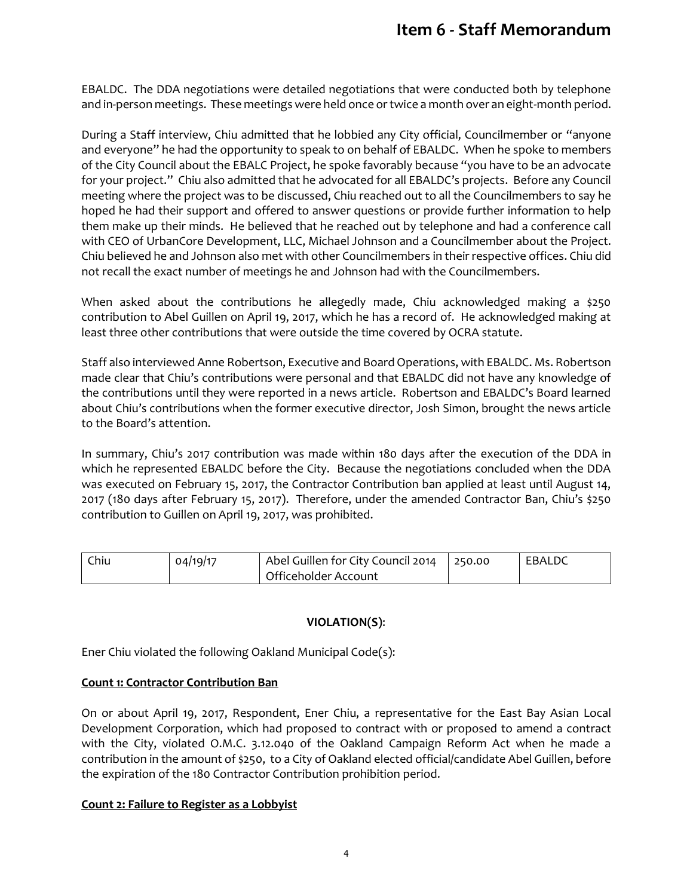EBALDC. The DDA negotiations were detailed negotiations that were conducted both by telephone and in-person meetings. These meetings were held once or twice a month over an eight-month period.

During a Staff interview, Chiu admitted that he lobbied any City official, Councilmember or "anyone and everyone" he had the opportunity to speak to on behalf of EBALDC. When he spoke to members of the City Council about the EBALC Project, he spoke favorably because "you have to be an advocate for your project." Chiu also admitted that he advocated for all EBALDC's projects. Before any Council meeting where the project was to be discussed, Chiu reached out to all the Councilmembers to say he hoped he had their support and offered to answer questions or provide further information to help them make up their minds. He believed that he reached out by telephone and had a conference call with CEO of UrbanCore Development, LLC, Michael Johnson and a Councilmember about the Project. Chiu believed he and Johnson also met with other Councilmembers in their respective offices. Chiu did not recall the exact number of meetings he and Johnson had with the Councilmembers.

When asked about the contributions he allegedly made, Chiu acknowledged making a \$250 contribution to Abel Guillen on April 19, 2017, which he has a record of. He acknowledged making at least three other contributions that were outside the time covered by OCRA statute.

Staff also interviewed Anne Robertson, Executive and Board Operations, with EBALDC. Ms. Robertson made clear that Chiu's contributions were personal and that EBALDC did not have any knowledge of the contributions until they were reported in a news article. Robertson and EBALDC's Board learned about Chiu's contributions when the former executive director, Josh Simon, brought the news article to the Board's attention.

In summary, Chiu's 2017 contribution was made within 180 days after the execution of the DDA in which he represented EBALDC before the City. Because the negotiations concluded when the DDA was executed on February 15, 2017, the Contractor Contribution ban applied at least until August 14, 2017 (180 days after February 15, 2017). Therefore, under the amended Contractor Ban, Chiu's \$250 contribution to Guillen on April 19, 2017, was prohibited.

| Chiu | 04/19/17 | Abel Guillen for City Council 2014 250.00 | EBALDC |
|------|----------|-------------------------------------------|--------|
|      |          | Officeholder Account                      |        |

## **VIOLATION(S)**:

Ener Chiu violated the following Oakland Municipal Code(s):

#### **Count 1: Contractor Contribution Ban**

On or about April 19, 2017, Respondent, Ener Chiu, a representative for the East Bay Asian Local Development Corporation, which had proposed to contract with or proposed to amend a contract with the City, violated O.M.C. 3.12.040 of the Oakland Campaign Reform Act when he made a contribution in the amount of \$250, to a City of Oakland elected official/candidate Abel Guillen, before the expiration of the 180 Contractor Contribution prohibition period.

#### **Count 2: Failure to Register as a Lobbyist**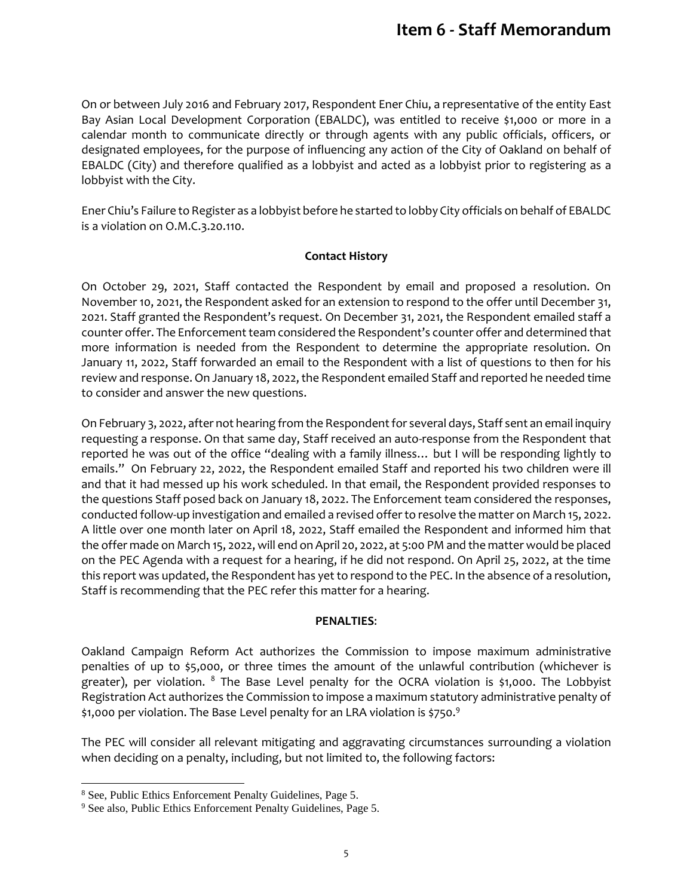On or between July 2016 and February 2017, Respondent Ener Chiu, a representative of the entity East Bay Asian Local Development Corporation (EBALDC), was entitled to receive \$1,000 or more in a calendar month to communicate directly or through agents with any public officials, officers, or designated employees, for the purpose of influencing any action of the City of Oakland on behalf of EBALDC (City) and therefore qualified as a lobbyist and acted as a lobbyist prior to registering as a lobbyist with the City.

Ener Chiu's Failure to Register as a lobbyist before he started to lobby City officials on behalf of EBALDC is a violation on O.M.C.3.20.110.

## **Contact History**

On October 29, 2021, Staff contacted the Respondent by email and proposed a resolution. On November 10, 2021, the Respondent asked for an extension to respond to the offer until December 31, 2021. Staff granted the Respondent's request. On December 31, 2021, the Respondent emailed staff a counter offer. The Enforcement team considered the Respondent's counter offer and determined that more information is needed from the Respondent to determine the appropriate resolution. On January 11, 2022, Staff forwarded an email to the Respondent with a list of questions to then for his review and response. On January 18, 2022, the Respondent emailed Staff and reported he needed time to consider and answer the new questions.

On February 3, 2022, after not hearing from the Respondent for several days, Staff sent an email inquiry requesting a response. On that same day, Staff received an auto-response from the Respondent that reported he was out of the office "dealing with a family illness… but I will be responding lightly to emails." On February 22, 2022, the Respondent emailed Staff and reported his two children were ill and that it had messed up his work scheduled. In that email, the Respondent provided responses to the questions Staff posed back on January 18, 2022. The Enforcement team considered the responses, conducted follow-up investigation and emailed a revised offer to resolve the matter on March 15, 2022. A little over one month later on April 18, 2022, Staff emailed the Respondent and informed him that the offer made on March 15, 2022, will end on April 20, 2022, at 5:00 PM and the matter would be placed on the PEC Agenda with a request for a hearing, if he did not respond. On April 25, 2022, at the time this report was updated, the Respondent has yet to respond to the PEC. In the absence of a resolution, Staff is recommending that the PEC refer this matter for a hearing.

#### **PENALTIES**:

Oakland Campaign Reform Act authorizes the Commission to impose maximum administrative penalties of up to \$5,000, or three times the amount of the unlawful contribution (whichever is greater), per violation. <sup>8</sup> The Base Level penalty for the OCRA violation is \$1,000. The Lobbyist Registration Act authorizes the Commission to impose a maximum statutory administrative penalty of \$1,000 per violation. The Base Level penalty for an LRA violation is \$750.<sup>9</sup>

The PEC will consider all relevant mitigating and aggravating circumstances surrounding a violation when deciding on a penalty, including, but not limited to, the following factors:

 $\overline{a}$ 

<sup>8</sup> See, Public Ethics Enforcement Penalty Guidelines, Page 5.

<sup>9</sup> See also, Public Ethics Enforcement Penalty Guidelines, Page 5.